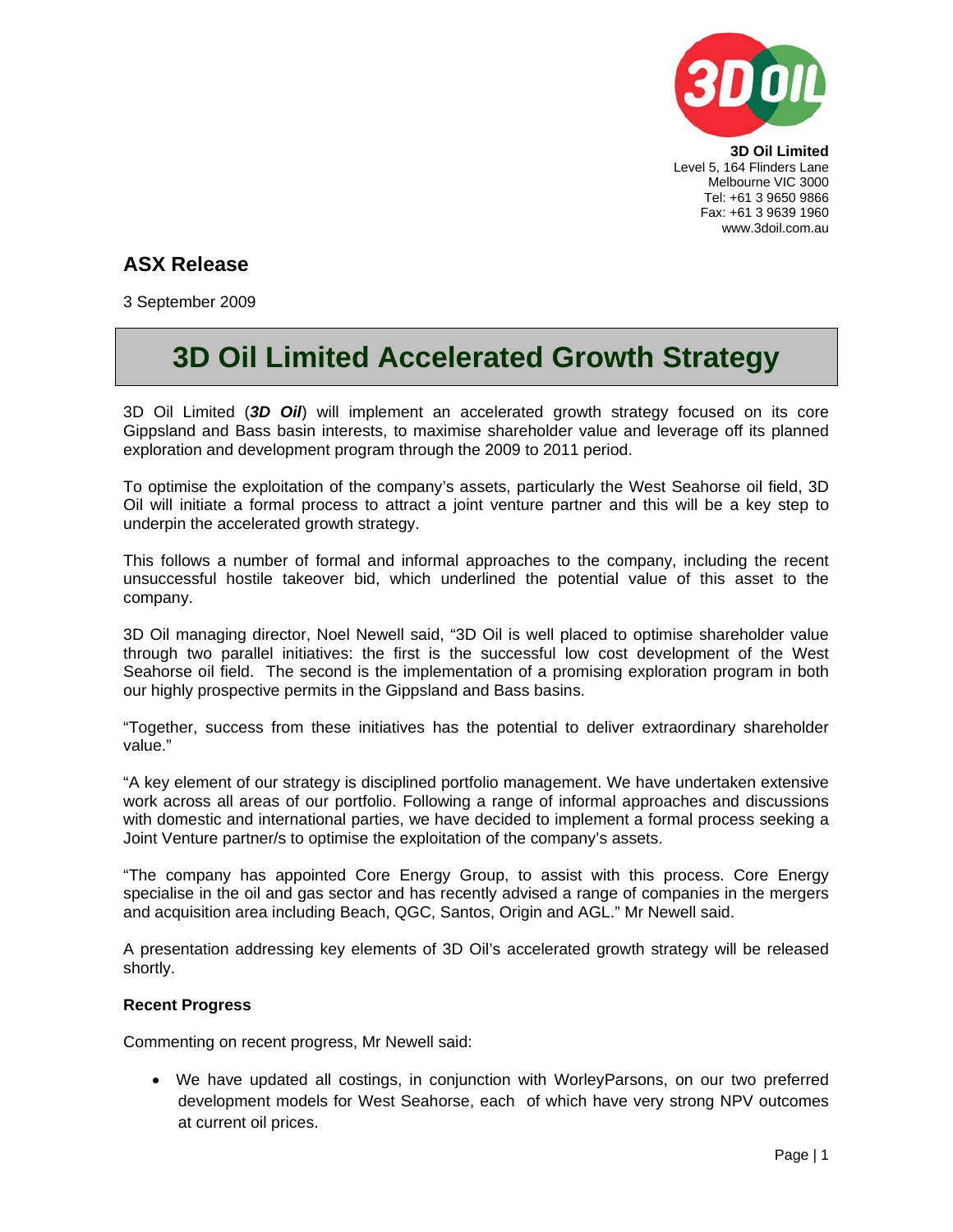

**3D Oil Limited**  Level 5, 164 Flinders Lane Melbourne VIC 3000 Tel: +61 3 9650 9866 Fax: +61 3 9639 1960 www.3doil.com.au

# **ASX Release**

3 September 2009

# **3D Oil Limited Accelerated Growth Strategy**

3D Oil Limited (*3D Oil*) will implement an accelerated growth strategy focused on its core Gippsland and Bass basin interests, to maximise shareholder value and leverage off its planned exploration and development program through the 2009 to 2011 period.

To optimise the exploitation of the company's assets, particularly the West Seahorse oil field, 3D Oil will initiate a formal process to attract a joint venture partner and this will be a key step to underpin the accelerated growth strategy.

This follows a number of formal and informal approaches to the company, including the recent unsuccessful hostile takeover bid, which underlined the potential value of this asset to the company.

3D Oil managing director, Noel Newell said, "3D Oil is well placed to optimise shareholder value through two parallel initiatives: the first is the successful low cost development of the West Seahorse oil field. The second is the implementation of a promising exploration program in both our highly prospective permits in the Gippsland and Bass basins.

"Together, success from these initiatives has the potential to deliver extraordinary shareholder value."

"A key element of our strategy is disciplined portfolio management. We have undertaken extensive work across all areas of our portfolio. Following a range of informal approaches and discussions with domestic and international parties, we have decided to implement a formal process seeking a Joint Venture partner/s to optimise the exploitation of the company's assets.

"The company has appointed Core Energy Group, to assist with this process. Core Energy specialise in the oil and gas sector and has recently advised a range of companies in the mergers and acquisition area including Beach, QGC, Santos, Origin and AGL." Mr Newell said.

A presentation addressing key elements of 3D Oil's accelerated growth strategy will be released shortly.

## **Recent Progress**

Commenting on recent progress, Mr Newell said:

• We have updated all costings, in conjunction with WorleyParsons, on our two preferred development models for West Seahorse, each of which have very strong NPV outcomes at current oil prices.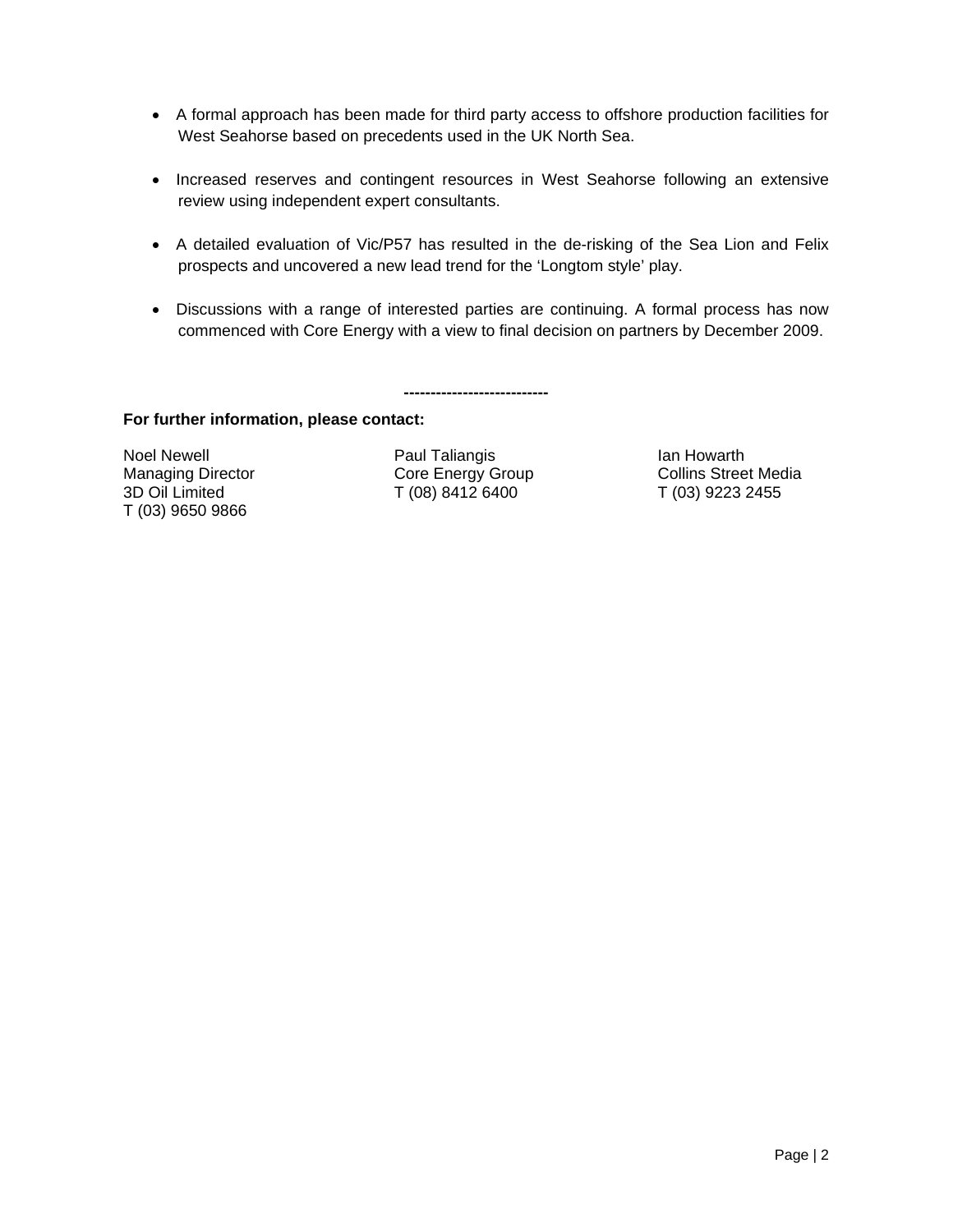- A formal approach has been made for third party access to offshore production facilities for West Seahorse based on precedents used in the UK North Sea.
- Increased reserves and contingent resources in West Seahorse following an extensive review using independent expert consultants.
- A detailed evaluation of Vic/P57 has resulted in the de-risking of the Sea Lion and Felix prospects and uncovered a new lead trend for the 'Longtom style' play.
- Discussions with a range of interested parties are continuing. A formal process has now commenced with Core Energy with a view to final decision on partners by December 2009.

**---------------------------** 

## **For further information, please contact:**

T (03) 9650 9866

Noel Newell **Newell Paul Taliangis Ian Howarth Ian Howarth** 3D Oil Limited T (08) 8412 6400 T (03) 9223 2455

Managing Director **Core Energy Group** Collins Street Media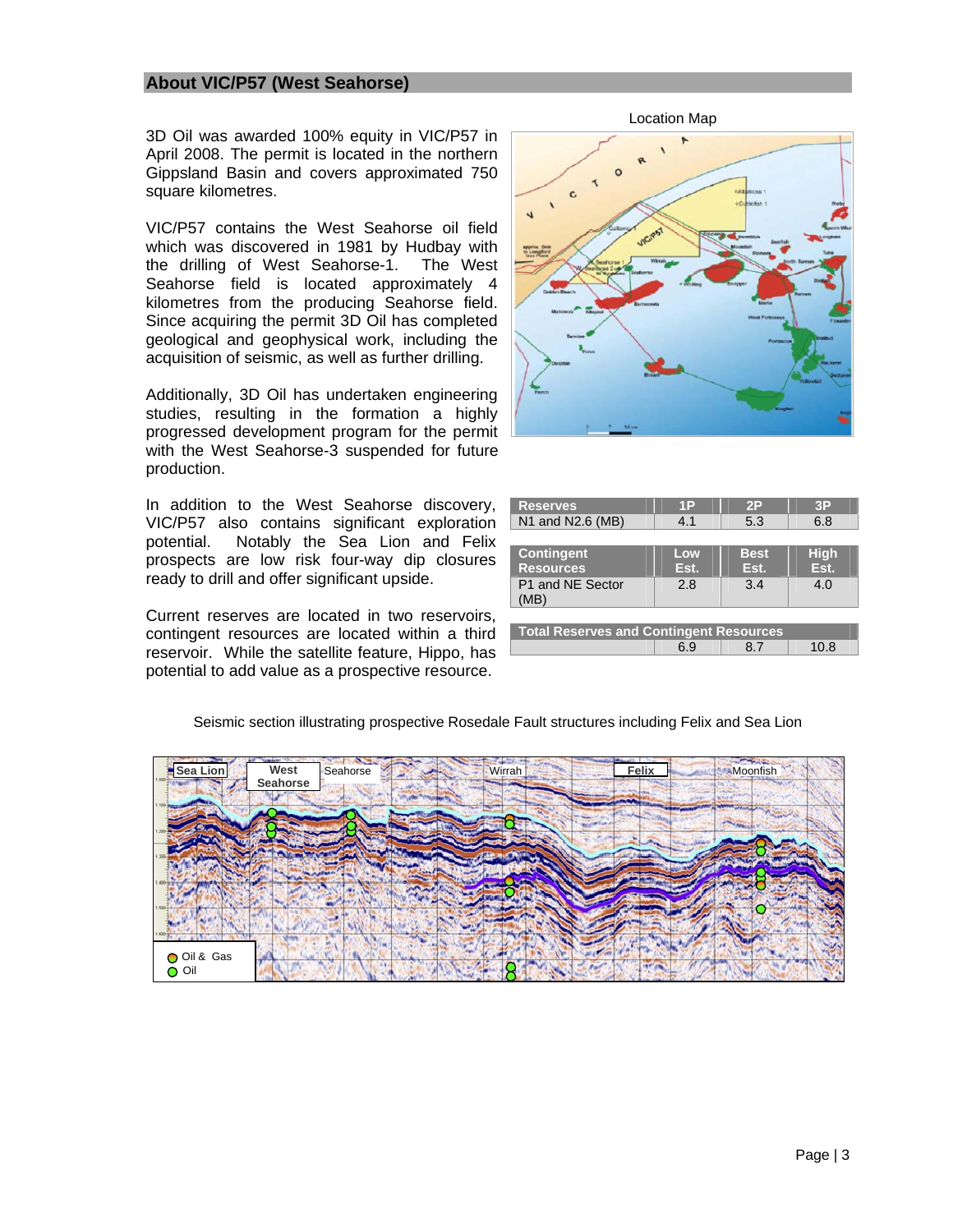#### **About VIC/P57 (West Seahorse)**

3D Oil was awarded 100% equity in VIC/P57 in April 2008. The permit is located in the northern Gippsland Basin and covers approximated 750 square kilometres.

VIC/P57 contains the West Seahorse oil field which was discovered in 1981 by Hudbay with the drilling of West Seahorse-1. The West Seahorse field is located approximately 4 kilometres from the producing Seahorse field. Since acquiring the permit 3D Oil has completed geological and geophysical work, including the acquisition of seismic, as well as further drilling.

Additionally, 3D Oil has undertaken engineering studies, resulting in the formation a highly progressed development program for the permit with the West Seahorse-3 suspended for future production.

In addition to the West Seahorse discovery, VIC/P57 also contains significant exploration potential. Notably the Sea Lion and Felix prospects are low risk four-way dip closures ready to drill and offer significant upside.

Current reserves are located in two reservoirs, contingent resources are located within a third reservoir. While the satellite feature, Hippo, has potential to add value as a prospective resource.





| <b>Reserves</b>                                | 1P   | 2P          | 3P          |
|------------------------------------------------|------|-------------|-------------|
| N1 and N2.6 (MB)                               | 4.1  | 5.3         | 6.8         |
|                                                |      |             |             |
| <b>Contingent</b>                              | Low  | <b>Best</b> | <b>High</b> |
| <b>Resources</b>                               | Est. | Est.        | Est.        |
| P1 and NE Sector                               | 2.8  | 3.4         | 4.0         |
| (MB)                                           |      |             |             |
|                                                |      |             |             |
| <b>Total Reserves and Contingent Resources</b> |      |             |             |
|                                                | 6.9  | 87          | 10.8        |



Seismic section illustrating prospective Rosedale Fault structures including Felix and Sea Lion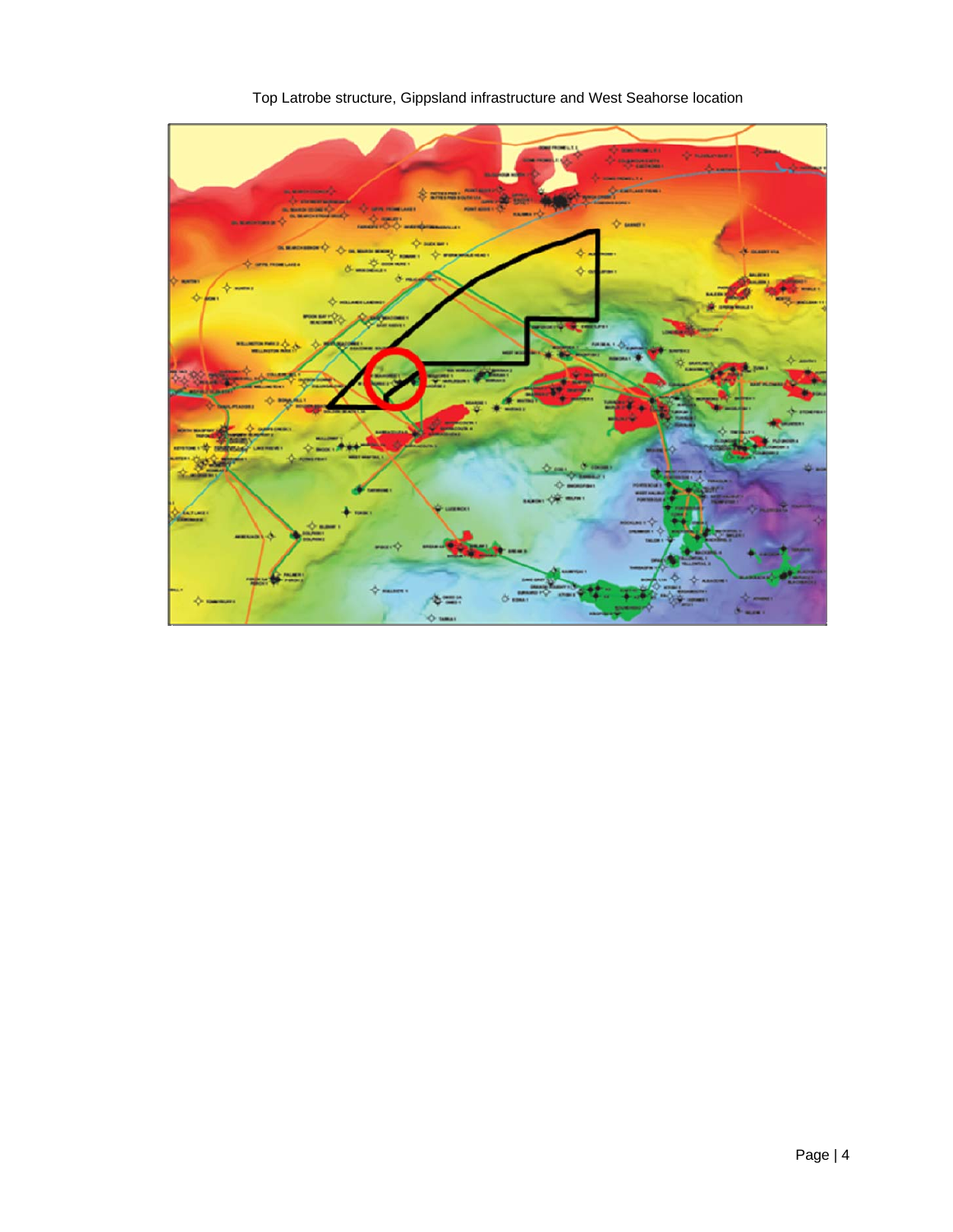

Top Latrobe structure, Gippsland infrastructure and West Seahorse location